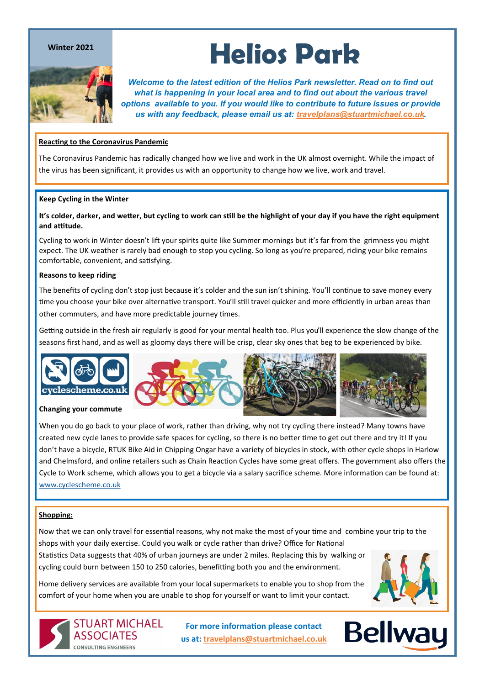#### **Winter 2021**



# **Helios Park**

*Welcome to the latest edition of the Helios Park newsletter. Read on to find out what is happening in your local area and to find out about the various travel options available to you. If you would like to contribute to future issues or provide us with any feedback, please email us at: [travelplans@stuartmichael.co.uk.](mailto:travelplans@stuartmichael.co.uk)*

#### **Reacting to the Coronavirus Pandemic**

The Coronavirus Pandemic has radically changed how we live and work in the UK almost overnight. While the impact of the virus has been significant, it provides us with an opportunity to change how we live, work and travel.

#### **Keep Cycling in the Winter**

#### **It's colder, darker, and wetter, but cycling to work can still be the highlight of your day if you have the right equipment and attitude.**

Cycling to work in Winter doesn't lift your spirits quite like Summer mornings but it's far from the grimness you might expect. The UK weather is rarely bad enough to stop you cycling. So long as you're prepared, riding your bike remains comfortable, convenient, and satisfying.

#### **Reasons to keep riding**

The benefits of cycling don't stop just because it's colder and the sun isn't shining. You'll continue to [save money](https://www.cyclescheme.co.uk/community/featured/how-much-money-does-cycling-save-you) every time you choose your bike over alternative transport. You'll still [travel quicker and more efficiently in urban areas](https://www.cyclescheme.co.uk/community/how-to/how-to-ride-slower-and-arrive-faster) than other commuters, and have more predictable journey times.

Getting outside in the fresh air regularly is good for your mental health too. Plus you'll experience the slow change of the seasons first hand, and as well as gloomy days there will be crisp, clear sky ones that beg to be experienced by bike.



When you do go back to your place of work, rather than driving, why not try cycling there instead? Many towns have created new cycle lanes to provide safe spaces for cycling, so there is no better time to get out there and try it! If you don't have a bicycle, RTUK Bike Aid in Chipping Ongar have a variety of bicycles in stock, with other cycle shops in Harlow and Chelmsford, and online retailers such as Chain Reaction Cycles have some great offers. The government also offers the Cycle to Work scheme, which allows you to get a bicycle via a salary sacrifice scheme. More information can be found at: [www.cyclescheme.co.uk](https://www.cyclescheme.co.uk/)

#### **Shopping:**

Now that we can only travel for essential reasons, why not make the most of your time and combine your trip to the shops with your daily exercise. Could you walk or cycle rather than drive? Office for National Statistics Data suggests that 40% of urban journeys are under 2 miles. Replacing this by walking or cycling could burn between 150 to 250 calories, benefitting both you and the environment.

Home delivery services are available from your local supermarkets to enable you to shop from the comfort of your home when you are unable to shop for yourself or want to limit your contact.



**STUART MICHAEL ASSOCIATES CONSULTING ENGINEERS** 

**For more information please contact us at: [travelplans@stuartmichael.co.uk](mailto:travelplans@stuartmichael.co.uk)**